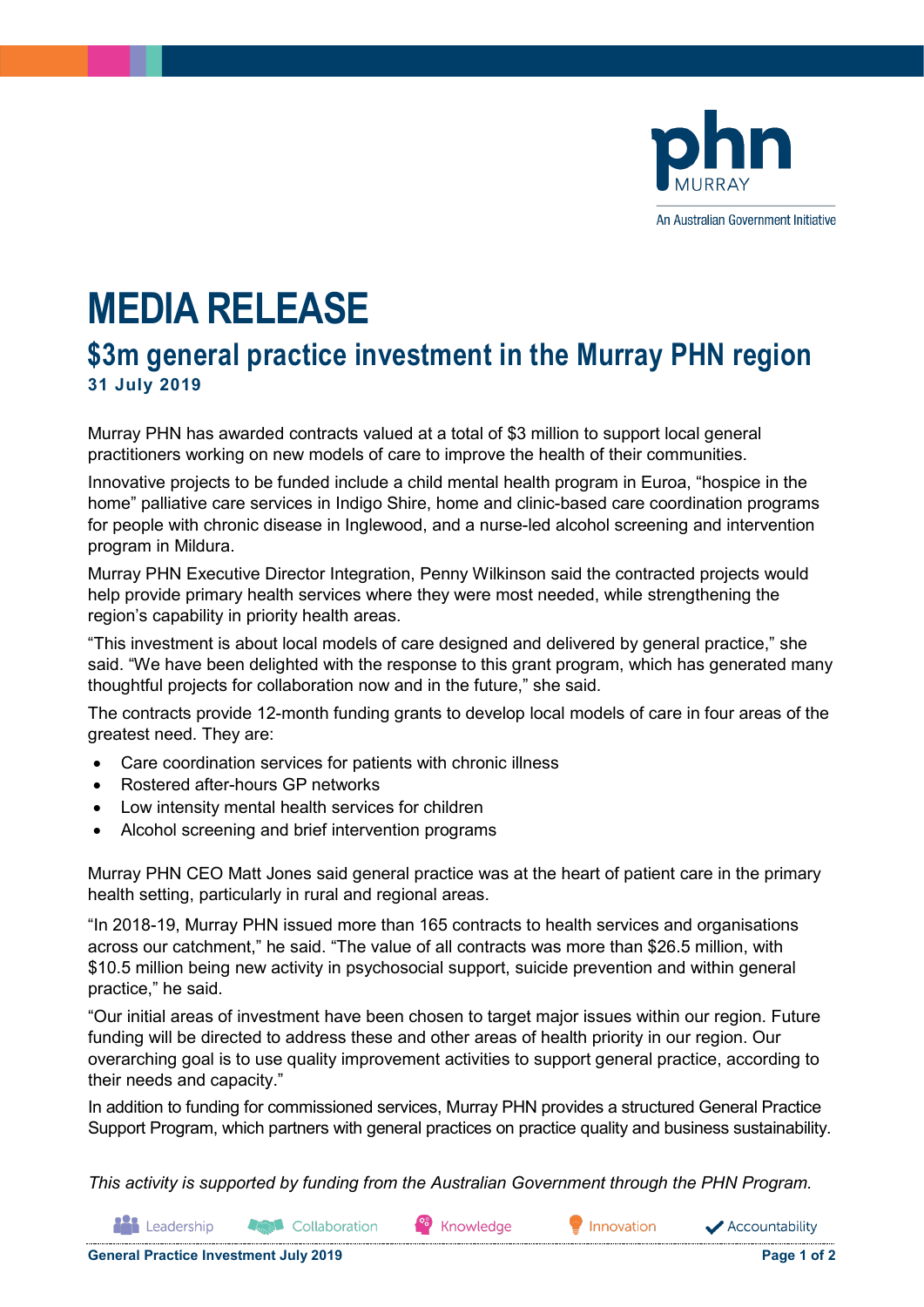

An Australian Government Initiative

# **MEDIA RELEASE**

# **\$3m general practice investment in the Murray PHN region 31 July 2019**

Murray PHN has awarded contracts valued at a total of \$3 million to support local general practitioners working on new models of care to improve the health of their communities.

Innovative projects to be funded include a child mental health program in Euroa, "hospice in the home" palliative care services in Indigo Shire, home and clinic-based care coordination programs for people with chronic disease in Inglewood, and a nurse-led alcohol screening and intervention program in Mildura.

Murray PHN Executive Director Integration, Penny Wilkinson said the contracted projects would help provide primary health services where they were most needed, while strengthening the region's capability in priority health areas.

"This investment is about local models of care designed and delivered by general practice," she said. "We have been delighted with the response to this grant program, which has generated many thoughtful projects for collaboration now and in the future," she said.

The contracts provide 12-month funding grants to develop local models of care in four areas of the greatest need. They are:

- Care coordination services for patients with chronic illness
- Rostered after-hours GP networks
- Low intensity mental health services for children
- Alcohol screening and brief intervention programs

Murray PHN CEO Matt Jones said general practice was at the heart of patient care in the primary health setting, particularly in rural and regional areas.

"In 2018-19, Murray PHN issued more than 165 contracts to health services and organisations across our catchment," he said. "The value of all contracts was more than \$26.5 million, with \$10.5 million being new activity in psychosocial support, suicide prevention and within general practice," he said.

"Our initial areas of investment have been chosen to target major issues within our region. Future funding will be directed to address these and other areas of health priority in our region. Our overarching goal is to use quality improvement activities to support general practice, according to their needs and capacity."

In addition to funding for commissioned services, Murray PHN provides a structured General Practice Support Program, which partners with general practices on practice quality and business sustainability.

*This activity is supported by funding from the Australian Government through the PHN Program.*

Leadership **St** Collaboration Knowledge

Innovation

Accountability